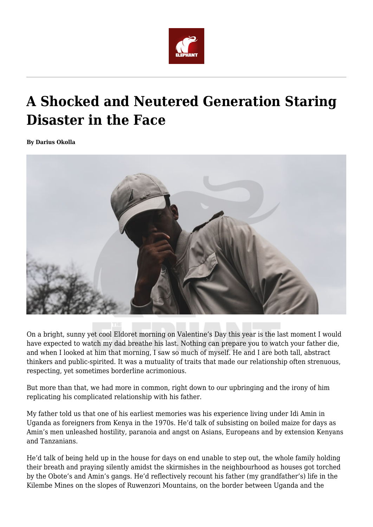

## **A Shocked and Neutered Generation Staring Disaster in the Face**

**By Darius Okolla**



On a bright, sunny yet cool Eldoret morning on Valentine's Day this year is the last moment I would have expected to watch my dad breathe his last. Nothing can prepare you to watch your father die, and when I looked at him that morning, I saw so much of myself. He and I are both tall, abstract thinkers and public-spirited. It was a mutuality of traits that made our relationship often strenuous, respecting, yet sometimes borderline acrimonious.

But more than that, we had more in common, right down to our upbringing and the irony of him replicating his complicated relationship with his father.

My father told us that one of his earliest memories was his experience living under Idi Amin in Uganda as foreigners from Kenya in the 1970s. He'd talk of subsisting on boiled maize for days as Amin's men unleashed hostility, paranoia and angst on Asians, Europeans and by extension Kenyans and Tanzanians.

He'd talk of being held up in the house for days on end unable to step out, the whole family holding their breath and praying silently amidst the skirmishes in the neighbourhood as houses got torched by the Obote's and Amin's gangs. He'd reflectively recount his father (my grandfather's) life in the Kilembe Mines on the slopes of Ruwenzori Mountains, on the border between Uganda and the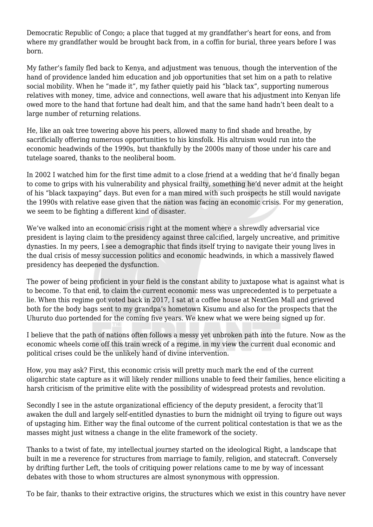Democratic Republic of Congo; a place that tugged at my grandfather's heart for eons, and from where my grandfather would be brought back from, in a coffin for burial, three years before I was born.

My father's family fled back to Kenya, and adjustment was tenuous, though the intervention of the hand of providence landed him education and job opportunities that set him on a path to relative social mobility. When he "made it", my father quietly paid his "black tax", supporting numerous relatives with money, time, advice and connections, well aware that his adjustment into Kenyan life owed more to the hand that fortune had dealt him, and that the same hand hadn't been dealt to a large number of returning relations.

He, like an oak tree towering above his peers, allowed many to find shade and breathe, by sacrificially offering numerous opportunities to his kinsfolk. His altruism would run into the economic headwinds of the 1990s, but thankfully by the 2000s many of those under his care and tutelage soared, thanks to the neoliberal boom.

In 2002 I watched him for the first time admit to a close friend at a wedding that he'd finally began to come to grips with his vulnerability and physical frailty, something he'd never admit at the height of his "black taxpaying" days. But even for a man mired with such prospects he still would navigate the 1990s with relative ease given that the nation was facing an economic crisis. For my generation, we seem to be fighting a different kind of disaster.

We've walked into an economic crisis right at the moment where a shrewdly adversarial vice president is laying claim to the presidency against three calcified, largely uncreative, and primitive dynasties. In my peers, I see a demographic that finds itself trying to navigate their young lives in the dual crisis of messy succession politics and economic headwinds, in which a massively flawed presidency has deepened the dysfunction.

The power of being proficient in your field is the constant ability to juxtapose what is against what is to become. To that end, to claim the current economic mess was unprecedented is to perpetuate a lie. When this regime got voted back in 2017, I sat at a coffee house at NextGen Mall and grieved both for the body bags sent to my grandpa's hometown Kisumu and also for the prospects that the Uhuruto duo portended for the coming five years. We knew what we were being signed up for.

I believe that the path of nations often follows a messy yet unbroken path into the future. Now as the economic wheels come off this train wreck of a regime, in my view the current dual economic and political crises could be the unlikely hand of divine intervention.

How, you may ask? First, this economic crisis will pretty much mark the end of the current oligarchic state capture as it will likely render millions unable to feed their families, hence eliciting a harsh criticism of the primitive elite with the possibility of widespread protests and revolution.

Secondly I see in the astute organizational efficiency of the deputy president, a ferocity that'll awaken the dull and largely self-entitled dynasties to burn the midnight oil trying to figure out ways of upstaging him. Either way the final outcome of the current political contestation is that we as the masses might just witness a change in the elite framework of the society.

Thanks to a twist of fate, my intellectual journey started on the ideological Right, a landscape that built in me a reverence for structures from marriage to family, religion, and statecraft. Conversely by drifting further Left, the tools of critiquing power relations came to me by way of incessant debates with those to whom structures are almost synonymous with oppression.

To be fair, thanks to their extractive origins, the structures which we exist in this country have never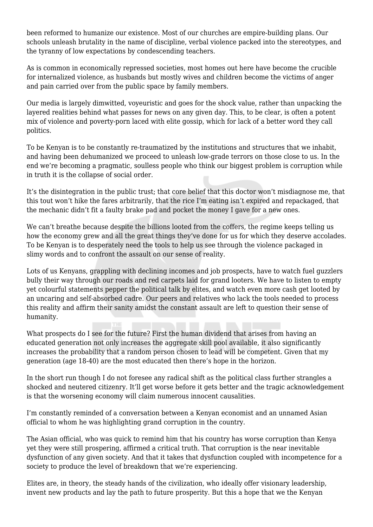been reformed to humanize our existence. Most of our churches are empire-building plans. Our schools unleash brutality in the name of discipline, verbal violence packed into the stereotypes, and the tyranny of low expectations by condescending teachers.

As is common in economically repressed societies, most homes out here have become the crucible for internalized violence, as husbands but mostly wives and children become the victims of anger and pain carried over from the public space by family members.

Our media is largely dimwitted, voyeuristic and goes for the shock value, rather than unpacking the layered realities behind what passes for news on any given day. This, to be clear, is often a potent mix of violence and poverty-porn laced with elite gossip, which for lack of a better word they call politics.

To be Kenyan is to be constantly re-traumatized by the institutions and structures that we inhabit, and having been dehumanized we proceed to unleash low-grade terrors on those close to us. In the end we're becoming a pragmatic, soulless people who think our biggest problem is corruption while in truth it is the collapse of social order.

It's the disintegration in the public trust; that core belief that this doctor won't misdiagnose me, that this tout won't hike the fares arbitrarily, that the rice I'm eating isn't expired and repackaged, that the mechanic didn't fit a faulty brake pad and pocket the money I gave for a new ones.

We can't breathe because despite the billions looted from the coffers, the regime keeps telling us how the economy grew and all the great things they've done for us for which they deserve accolades. To be Kenyan is to desperately need the tools to help us see through the violence packaged in slimy words and to confront the assault on our sense of reality.

Lots of us Kenyans, grappling with declining incomes and job prospects, have to watch fuel guzzlers bully their way through our roads and red carpets laid for grand looters. We have to listen to empty yet colourful statements pepper the political talk by elites, and watch even more cash get looted by an uncaring and self-absorbed cadre. Our peers and relatives who lack the tools needed to process this reality and affirm their sanity amidst the constant assault are left to question their sense of humanity.

What prospects do I see for the future? First the human dividend that arises from having an educated generation not only increases the aggregate skill pool available, it also significantly increases the probability that a random person chosen to lead will be competent. Given that my generation (age 18-40) are the most educated then there's hope in the horizon.

In the short run though I do not foresee any radical shift as the political class further strangles a shocked and neutered citizenry. It'll get worse before it gets better and the tragic acknowledgement is that the worsening economy will claim numerous innocent causalities.

I'm constantly reminded of a conversation between a Kenyan economist and an unnamed Asian official to whom he was highlighting grand corruption in the country.

The Asian official, who was quick to remind him that his country has worse corruption than Kenya yet they were still prospering, affirmed a critical truth. That corruption is the near inevitable dysfunction of any given society. And that it takes that dysfunction coupled with incompetence for a society to produce the level of breakdown that we're experiencing.

Elites are, in theory, the steady hands of the civilization, who ideally offer visionary leadership, invent new products and lay the path to future prosperity. But this a hope that we the Kenyan